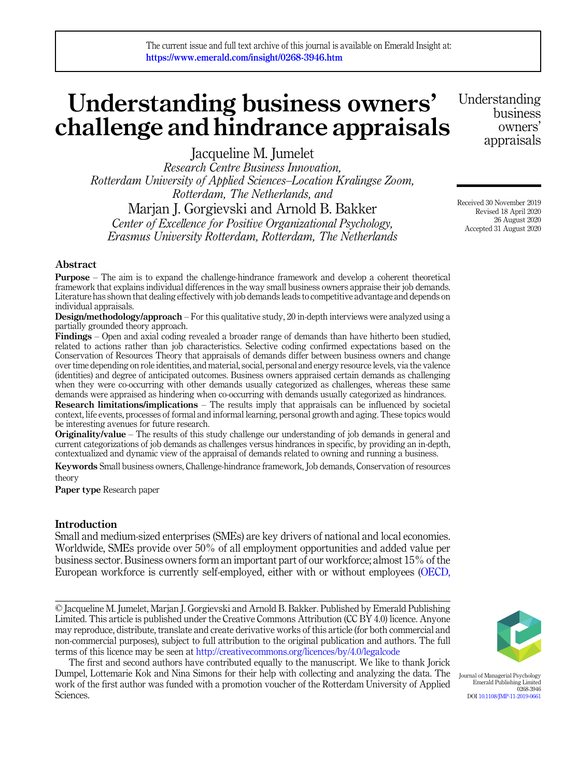# Understanding business owners' challenge and hindrance appraisals

Jacqueline M. Jumelet

Research Centre Business Innovation, Rotterdam University of Applied Sciences–Location Kralingse Zoom, Rotterdam, The Netherlands, and

Marjan J. Gorgievski and Arnold B. Bakker Center of Excellence for Positive Organizational Psychology, Erasmus University Rotterdam, Rotterdam, The Netherlands Understanding business owners' appraisals

Received 30 November 2019 Revised 18 April 2020 26 August 2020 Accepted 31 August 2020

# Abstract

Purpose – The aim is to expand the challenge-hindrance framework and develop a coherent theoretical framework that explains individual differences in the way small business owners appraise their job demands. Literature has shown that dealing effectively with job demands leads to competitive advantage and depends on individual appraisals.

Design/methodology/approach – For this qualitative study, 20 in-depth interviews were analyzed using a partially grounded theory approach.

Findings – Open and axial coding revealed a broader range of demands than have hitherto been studied, related to actions rather than job characteristics. Selective coding confirmed expectations based on the Conservation of Resources Theory that appraisals of demands differ between business owners and change over time depending on role identities, and material, social, personal and energy resource levels, via the valence (identities) and degree of anticipated outcomes. Business owners appraised certain demands as challenging when they were co-occurring with other demands usually categorized as challenges, whereas these same demands were appraised as hindering when co-occurring with demands usually categorized as hindrances. Research limitations/implications – The results imply that appraisals can be influenced by societal context, life events, processes of formal and informal learning, personal growth and aging. These topics would

be interesting avenues for future research. **Originality/value** – The results of this study challenge our understanding of job demands in general and current categorizations of job demands as challenges versus hindrances in specific, by providing an in-depth, contextualized and dynamic view of the appraisal of demands related to owning and running a business.

Keywords Small business owners, Challenge-hindrance framework, Job demands, Conservation of resources theory

Paper type Research paper

# Introduction

Small and medium-sized enterprises (SMEs) are key drivers of national and local economies. Worldwide, SMEs provide over 50% of all employment opportunities and added value per business sector. Business owners form an important part of our workforce; almost 15% of the European workforce is currently self-employed, either with or without employees [\(OECD,](#page-19-0)

© Jacqueline M. Jumelet, Marjan J. Gorgievski and Arnold B. Bakker. Published by Emerald Publishing Limited. This article is published under the Creative Commons Attribution (CC BY 4.0) licence. Anyone may reproduce, distribute, translate and create derivative works of this article (for both commercial and non-commercial purposes), subject to full attribution to the original publication and authors. The full terms of this licence may be seen at <http://creativecommons.org/licences/by/4.0/legalcode>

The first and second authors have contributed equally to the manuscript. We like to thank Jorick Dumpel, Lottemarie Kok and Nina Simons for their help with collecting and analyzing the data. The work of the first author was funded with a promotion voucher of the Rotterdam University of Applied Sciences.



Journal of Managerial Psychology Emerald Publishing Limited 0268-3946 DOI [10.1108/JMP-11-2019-0661](https://doi.org/10.1108/JMP-11-2019-0661)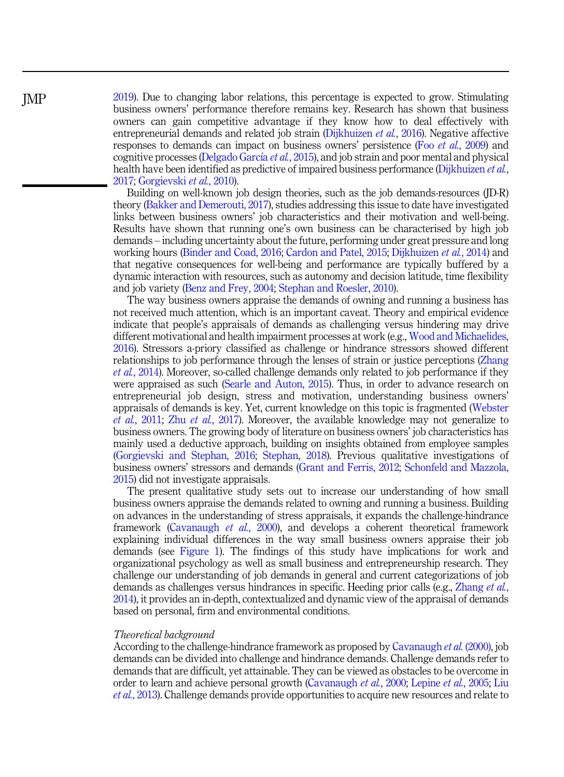[2019\)](#page-19-0). Due to changing labor relations, this percentage is expected to grow. Stimulating business owners' performance therefore remains key. Research has shown that business owners can gain competitive advantage if they know how to deal effectively with entrepreneurial demands and related job strain ([Dijkhuizen](#page-18-0) et al., 2016). Negative affective responses to demands can impact on business owners' persistence (Foo et al.[, 2009\)](#page-18-0) and cognitive processes [\(Delgado Garc](#page-18-0)ía *et al.*[, 2015\)](#page-18-0), and job strain and poor mental and physical health have been identified as predictive of impaired business performance ([Dijkhuizen](#page-18-0) et al., [2017;](#page-18-0) [Gorgievski](#page-18-0) et al., 2010).

Building on well-known job design theories, such as the job demands-resources (JD-R) theory [\(Bakker and Demerouti, 2017\)](#page-17-0), studies addressing this issue to date have investigated links between business owners' job characteristics and their motivation and well-being. Results have shown that running one's own business can be characterised by high job demands – including uncertainty about the future, performing under great pressure and long working hours [\(Binder and Coad, 2016](#page-18-0); [Cardon and Patel, 2015;](#page-18-0) [Dijkhuizen](#page-18-0) et al., 2014) and that negative consequences for well-being and performance are typically buffered by a dynamic interaction with resources, such as autonomy and decision latitude, time flexibility and job variety ([Benz and Frey, 2004;](#page-17-0) [Stephan and Roesler, 2010](#page-20-0)).

The way business owners appraise the demands of owning and running a business has not received much attention, which is an important caveat. Theory and empirical evidence indicate that people's appraisals of demands as challenging versus hindering may drive different motivational and health impairment processes at work (e.g., [Wood and Michaelides,](#page-20-0) [2016\)](#page-20-0). Stressors a-priory classified as challenge or hindrance stressors showed different relationships to job performance through the lenses of strain or justice perceptions [\(Zhang](#page-20-0) et al.[, 2014](#page-20-0)). Moreover, so-called challenge demands only related to job performance if they were appraised as such ([Searle and Auton, 2015\)](#page-19-0). Thus, in order to advance research on entrepreneurial job design, stress and motivation, understanding business owners' appraisals of demands is key. Yet, current knowledge on this topic is fragmented ([Webster](#page-20-0) et al.[, 2011;](#page-20-0) Zhu et al.[, 2017](#page-20-0)). Moreover, the available knowledge may not generalize to business owners. The growing body of literature on business owners' job characteristics has mainly used a deductive approach, building on insights obtained from employee samples ([Gorgievski and Stephan, 2016](#page-18-0); [Stephan, 2018\)](#page-20-0). Previous qualitative investigations of business owners' stressors and demands ([Grant and Ferris, 2012](#page-18-0); [Schonfeld and Mazzola,](#page-19-0) [2015\)](#page-19-0) did not investigate appraisals.

The present qualitative study sets out to increase our understanding of how small business owners appraise the demands related to owning and running a business. Building on advances in the understanding of stress appraisals, it expands the challenge-hindrance framework ([Cavanaugh](#page-18-0) et al., 2000), and develops a coherent theoretical framework explaining individual differences in the way small business owners appraise their job demands (see [Figure 1](#page-2-0)). The findings of this study have implications for work and organizational psychology as well as small business and entrepreneurship research. They challenge our understanding of job demands in general and current categorizations of job demands as challenges versus hindrances in specific. Heeding prior calls (e.g., [Zhang](#page-20-0) *et al.*, [2014\)](#page-20-0), it provides an in-depth, contextualized and dynamic view of the appraisal of demands based on personal, firm and environmental conditions.

# Theoretical background

According to the challenge-hindrance framework as proposed by [Cavanaugh](#page-18-0) et al. (2000), job demands can be divided into challenge and hindrance demands. Challenge demands refer to demands that are difficult, yet attainable. They can be viewed as obstacles to be overcome in order to learn and achieve personal growth ([Cavanaugh](#page-18-0) et al., 2000; [Lepine](#page-19-0) et al., 2005; [Liu](#page-19-0) et al.[, 2013\)](#page-19-0). Challenge demands provide opportunities to acquire new resources and relate to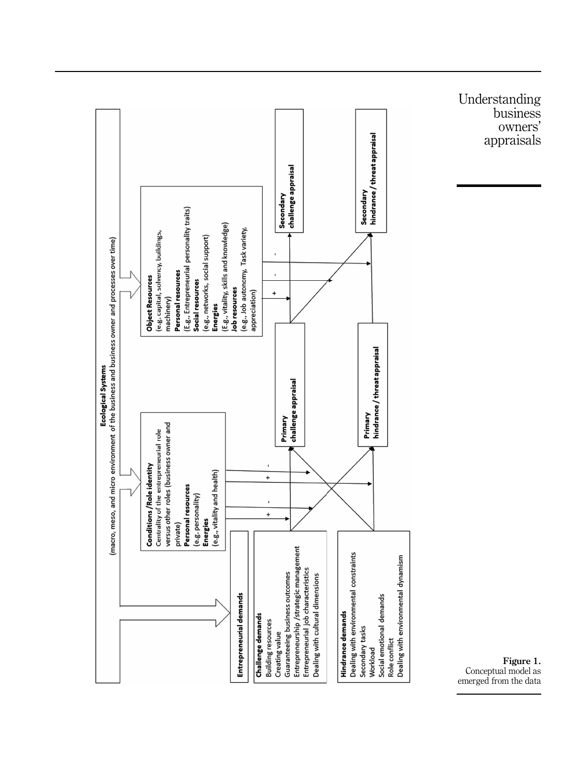<span id="page-2-0"></span>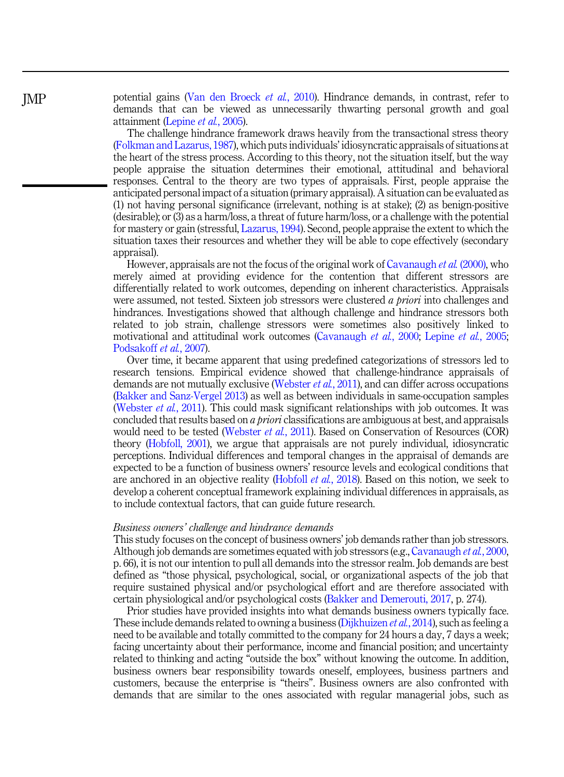potential gains ([Van den Broeck](#page-20-0) et al., 2010). Hindrance demands, in contrast, refer to demands that can be viewed as unnecessarily thwarting personal growth and goal attainment [\(Lepine](#page-19-0) et al., 2005).

The challenge hindrance framework draws heavily from the transactional stress theory ([Folkman and Lazarus, 1987](#page-18-0)), which puts individuals' idiosyncratic appraisals of situations at the heart of the stress process. According to this theory, not the situation itself, but the way people appraise the situation determines their emotional, attitudinal and behavioral responses. Central to the theory are two types of appraisals. First, people appraise the anticipated personal impact of a situation (primary appraisal). A situation can be evaluated as (1) not having personal significance (irrelevant, nothing is at stake); (2) as benign-positive (desirable); or (3) as a harm/loss, a threat of future harm/loss, or a challenge with the potential for mastery or gain (stressful, [Lazarus, 1994\)](#page-19-0). Second, people appraise the extent to which the situation taxes their resources and whether they will be able to cope effectively (secondary appraisal).

However, appraisals are not the focus of the original work of [Cavanaugh](#page-18-0) et al. (2000), who merely aimed at providing evidence for the contention that different stressors are differentially related to work outcomes, depending on inherent characteristics. Appraisals were assumed, not tested. Sixteen job stressors were clustered *a priori* into challenges and hindrances. Investigations showed that although challenge and hindrance stressors both related to job strain, challenge stressors were sometimes also positively linked to motivational and attitudinal work outcomes [\(Cavanaugh](#page-18-0) *et al.*, 2000; [Lepine](#page-19-0) *et al.*, 2005; [Podsakoff](#page-19-0) et al., 2007).

Over time, it became apparent that using predefined categorizations of stressors led to research tensions. Empirical evidence showed that challenge-hindrance appraisals of demands are not mutually exclusive [\(Webster](#page-20-0) *et al.*, 2011), and can differ across occupations ([Bakker and Sanz-Vergel 2013](#page-17-0)) as well as between individuals in same-occupation samples ([Webster](#page-20-0) et al., 2011). This could mask significant relationships with job outcomes. It was concluded that results based on a priori classifications are ambiguous at best, and appraisals would need to be tested ([Webster](#page-20-0) *et al.*, 2011). Based on Conservation of Resources (COR) theory [\(Hobfoll, 2001](#page-18-0)), we argue that appraisals are not purely individual, idiosyncratic perceptions. Individual differences and temporal changes in the appraisal of demands are expected to be a function of business owners' resource levels and ecological conditions that are anchored in an objective reality [\(Hobfoll](#page-19-0) et al., 2018). Based on this notion, we seek to develop a coherent conceptual framework explaining individual differences in appraisals, as to include contextual factors, that can guide future research.

#### Business owners' challenge and hindrance demands

This study focuses on the concept of business owners' job demands rather than job stressors. Although job demands are sometimes equated with job stressors (e.g., [Cavanaugh](#page-18-0) *et al.*, 2000, p. 66), it is not our intention to pull all demands into the stressor realm. Job demands are best defined as "those physical, psychological, social, or organizational aspects of the job that require sustained physical and/or psychological effort and are therefore associated with certain physiological and/or psychological costs [\(Bakker and Demerouti, 2017,](#page-17-0) p. 274).

Prior studies have provided insights into what demands business owners typically face. These include demands related to owning a business [\(Dijkhuizen](#page-18-0) *et al.*, 2014), such as feeling a need to be available and totally committed to the company for 24 hours a day, 7 days a week; facing uncertainty about their performance, income and financial position; and uncertainty related to thinking and acting "outside the box" without knowing the outcome. In addition, business owners bear responsibility towards oneself, employees, business partners and customers, because the enterprise is "theirs". Business owners are also confronted with demands that are similar to the ones associated with regular managerial jobs, such as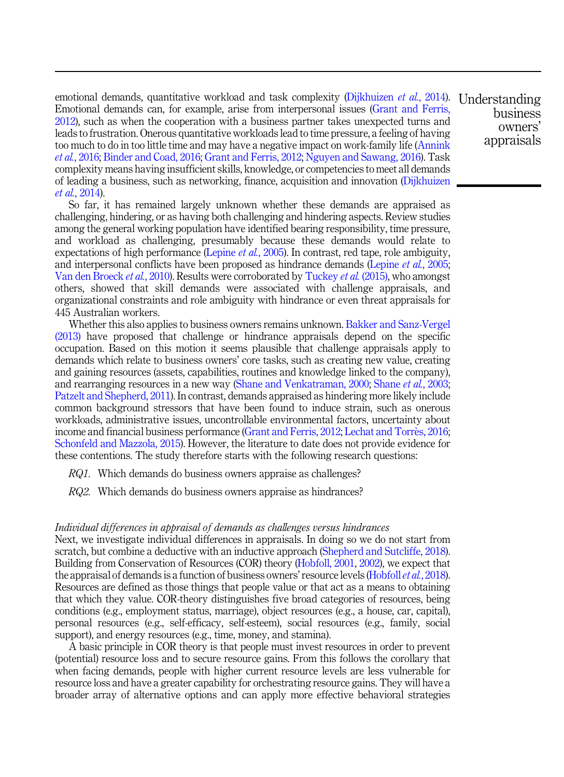emotional demands, quantitative workload and task complexity ([Dijkhuizen](#page-18-0) et al., 2014). Understanding Emotional demands can, for example, arise from interpersonal issues ([Grant and Ferris,](#page-18-0) [2012\)](#page-18-0), such as when the cooperation with a business partner takes unexpected turns and leads to frustration. Onerous quantitative workloads lead to time pressure, a feeling of having too much to do in too little time and may have a negative impact on work-family life [\(Annink](#page-17-0) et al.[, 2016;](#page-17-0) [Binder and Coad, 2016](#page-18-0); [Grant and Ferris, 2012;](#page-18-0) [Nguyen and Sawang, 2016](#page-19-0)). Task complexity means having insufficient skills, knowledge, or competencies to meet all demands of leading a business, such as networking, finance, acquisition and innovation [\(Dijkhuizen](#page-18-0) et al.[, 2014\)](#page-18-0).

So far, it has remained largely unknown whether these demands are appraised as challenging, hindering, or as having both challenging and hindering aspects. Review studies among the general working population have identified bearing responsibility, time pressure, and workload as challenging, presumably because these demands would relate to expectations of high performance ([Lepine](#page-19-0) *et al.*, 2005). In contrast, red tape, role ambiguity, and interpersonal conflicts have been proposed as hindrance demands ([Lepine](#page-19-0) *et al.*, 2005; [Van den Broeck](#page-20-0) et al., 2010). Results were corroborated by [Tuckey](#page-20-0) et al. (2015), who amongst others, showed that skill demands were associated with challenge appraisals, and organizational constraints and role ambiguity with hindrance or even threat appraisals for 445 Australian workers.

Whether this also applies to business owners remains unknown. [Bakker and Sanz-Vergel](#page-17-0) [\(2013\)](#page-17-0) have proposed that challenge or hindrance appraisals depend on the specific occupation. Based on this motion it seems plausible that challenge appraisals apply to demands which relate to business owners' core tasks, such as creating new value, creating and gaining resources (assets, capabilities, routines and knowledge linked to the company), and rearranging resources in a new way ([Shane and Venkatraman, 2000;](#page-19-0) [Shane](#page-19-0) et al., 2003; [Patzelt and Shepherd, 2011](#page-19-0)). In contrast, demands appraised as hindering more likely include common background stressors that have been found to induce strain, such as onerous workloads, administrative issues, uncontrollable environmental factors, uncertainty about income and financial business performance [\(Grant and Ferris, 2012](#page-18-0); [Lechat and Torr](#page-19-0)e[s, 2016](#page-19-0); [Schonfeld and Mazzola, 2015\)](#page-19-0). However, the literature to date does not provide evidence for these contentions. The study therefore starts with the following research questions:

- RQ1. Which demands do business owners appraise as challenges?
- RQ2. Which demands do business owners appraise as hindrances?

#### Individual differences in appraisal of demands as challenges versus hindrances

Next, we investigate individual differences in appraisals. In doing so we do not start from scratch, but combine a deductive with an inductive approach [\(Shepherd and Sutcliffe, 2018\)](#page-19-0). Building from Conservation of Resources (COR) theory ([Hobfoll, 2001](#page-18-0), [2002](#page-19-0)), we expect that the appraisal of demands is a function of business owners' resource levels ([Hobfoll](#page-19-0) *et al.*, 2018). Resources are defined as those things that people value or that act as a means to obtaining that which they value. COR-theory distinguishes five broad categories of resources, being conditions (e.g., employment status, marriage), object resources (e.g., a house, car, capital), personal resources (e.g., self-efficacy, self-esteem), social resources (e.g., family, social support), and energy resources (e.g., time, money, and stamina).

A basic principle in COR theory is that people must invest resources in order to prevent (potential) resource loss and to secure resource gains. From this follows the corollary that when facing demands, people with higher current resource levels are less vulnerable for resource loss and have a greater capability for orchestrating resource gains. They will have a broader array of alternative options and can apply more effective behavioral strategies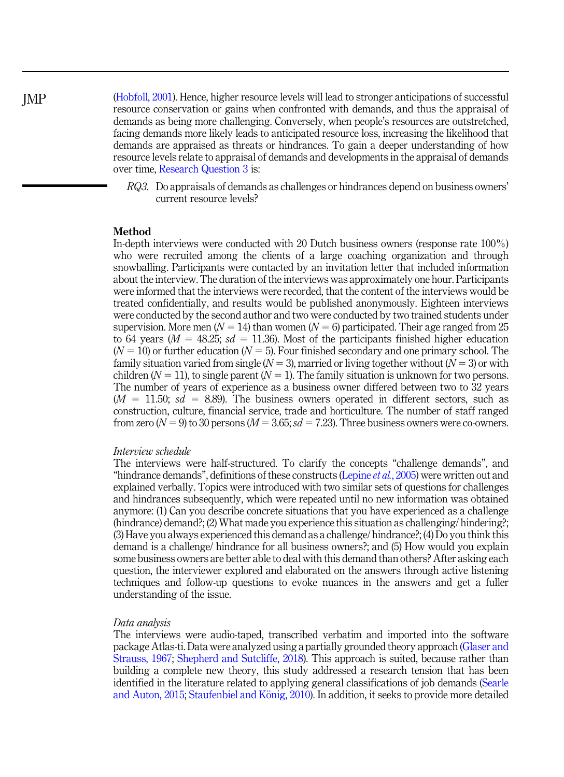<span id="page-5-0"></span>([Hobfoll, 2001](#page-18-0)). Hence, higher resource levels will lead to stronger anticipations of successful resource conservation or gains when confronted with demands, and thus the appraisal of demands as being more challenging. Conversely, when people's resources are outstretched, facing demands more likely leads to anticipated resource loss, increasing the likelihood that demands are appraised as threats or hindrances. To gain a deeper understanding of how resource levels relate to appraisal of demands and developments in the appraisal of demands over time, Research Question 3 is:

RQ3. Do appraisals of demands as challenges or hindrances depend on business owners' current resource levels?

#### Method

In-depth interviews were conducted with 20 Dutch business owners (response rate 100%) who were recruited among the clients of a large coaching organization and through snowballing. Participants were contacted by an invitation letter that included information about the interview. The duration of the interviews was approximately one hour. Participants were informed that the interviews were recorded, that the content of the interviews would be treated confidentially, and results would be published anonymously. Eighteen interviews were conducted by the second author and two were conducted by two trained students under supervision. More men ( $N = 14$ ) than women ( $N = 6$ ) participated. Their age ranged from 25 to 64 years ( $M = 48.25$ ;  $sd = 11.36$ ). Most of the participants finished higher education  $(N = 10)$  or further education  $(N = 5)$ . Four finished secondary and one primary school. The family situation varied from single  $(N = 3)$ , married or living together without  $(N = 3)$  or with children ( $N = 11$ ), to single parent ( $N = 1$ ). The family situation is unknown for two persons. The number of years of experience as a business owner differed between two to 32 years  $(M = 11.50; sd = 8.89)$ . The business owners operated in different sectors, such as construction, culture, financial service, trade and horticulture. The number of staff ranged from zero ( $N = 9$ ) to 30 persons ( $M = 3.65$ ;  $sd = 7.23$ ). Three business owners were co-owners.

#### Interview schedule

The interviews were half-structured. To clarify the concepts "challenge demands", and "hindrance demands", definitions of these constructs [\(Lepine](#page-19-0) *et al.*, 2005) were written out and explained verbally. Topics were introduced with two similar sets of questions for challenges and hindrances subsequently, which were repeated until no new information was obtained anymore: (1) Can you describe concrete situations that you have experienced as a challenge (hindrance) demand?; (2) What made you experience this situation as challenging/ hindering?; (3) Have you always experienced this demand as a challenge/ hindrance?; (4) Do you think this demand is a challenge/ hindrance for all business owners?; and (5) How would you explain some business owners are better able to deal with this demand than others? After asking each question, the interviewer explored and elaborated on the answers through active listening techniques and follow-up questions to evoke nuances in the answers and get a fuller understanding of the issue.

#### Data analysis

The interviews were audio-taped, transcribed verbatim and imported into the software package Atlas-ti. Data were analyzed using a partially grounded theory approach ([Glaser and](#page-18-0) [Strauss, 1967](#page-18-0); [Shepherd and Sutcliffe, 2018](#page-19-0)). This approach is suited, because rather than building a complete new theory, this study addressed a research tension that has been identified in the literature related to applying general classifications of job demands [\(Searle](#page-19-0) [and Auton, 2015](#page-19-0); [Staufenbiel and K](#page-20-0)önig, 2010). In addition, it seeks to provide more detailed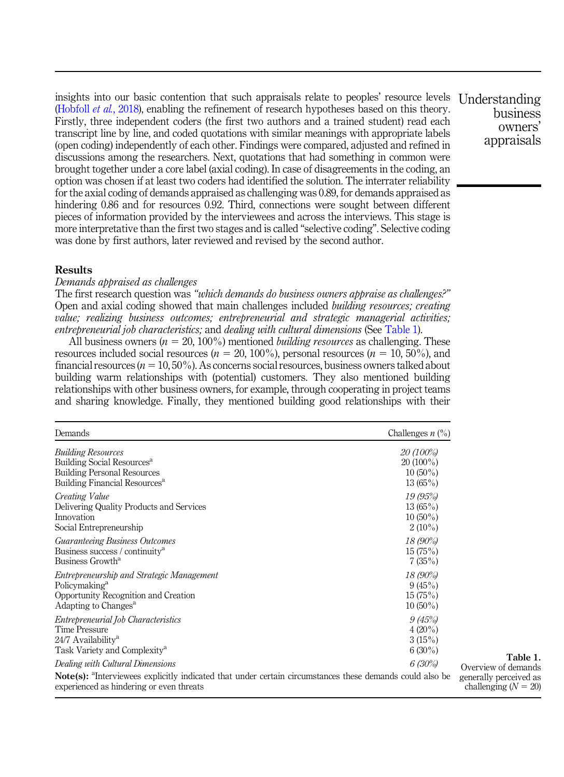insights into our basic contention that such appraisals relate to peoples' resource levels Understanding ([Hobfoll](#page-19-0) *et al.*, 2018), enabling the refinement of research hypotheses based on this theory. Firstly, three independent coders (the first two authors and a trained student) read each transcript line by line, and coded quotations with similar meanings with appropriate labels (open coding) independently of each other. Findings were compared, adjusted and refined in discussions among the researchers. Next, quotations that had something in common were brought together under a core label (axial coding). In case of disagreements in the coding, an option was chosen if at least two coders had identified the solution. The interrater reliability for the axial coding of demands appraised as challenging was 0.89, for demands appraised as hindering 0.86 and for resources 0.92. Third, connections were sought between different pieces of information provided by the interviewees and across the interviews. This stage is more interpretative than the first two stages and is called "selective coding". Selective coding was done by first authors, later reviewed and revised by the second author.

# Results

#### Demands appraised as challenges

The first research question was "which demands do business owners appraise as challenges?" Open and axial coding showed that main challenges included building resources; creating value; realizing business outcomes; entrepreneurial and strategic managerial activities; entrepreneurial job characteristics; and dealing with cultural dimensions (See Table 1).

All business owners  $(n = 20, 100\%)$  mentioned *building resources* as challenging. These resources included social resources ( $n = 20, 100\%$ ), personal resources ( $n = 10, 50\%$ ), and financial resources ( $n = 10, 50\%$ ). As concerns social resources, business owners talked about building warm relationships with (potential) customers. They also mentioned building relationships with other business owners, for example, through cooperating in project teams and sharing knowledge. Finally, they mentioned building good relationships with their

| Demands                                                                                                                                                                                                     | Challenges $n$ (%)                                |                                                                                     |
|-------------------------------------------------------------------------------------------------------------------------------------------------------------------------------------------------------------|---------------------------------------------------|-------------------------------------------------------------------------------------|
| <b>Building Resources</b><br>Building Social Resources <sup>a</sup><br><b>Building Personal Resources</b><br>Building Financial Resources <sup>a</sup>                                                      | 20 (100%)<br>$20(100\%)$<br>$10(50\%)$<br>13(65%) |                                                                                     |
| Creating Value<br>Delivering Quality Products and Services<br>Innovation<br>Social Entrepreneurship                                                                                                         | 19 (95%)<br>13(65%)<br>$10(50\%)$<br>$2(10\%)$    |                                                                                     |
| <b>Guaranteeing Business Outcomes</b><br>Business success / continuity <sup>a</sup><br>Business Growth <sup>a</sup>                                                                                         | 18 (90%)<br>15(75%)<br>7(35%)                     |                                                                                     |
| Entrepreneurship and Strategic Management<br>Policymaking <sup>a</sup><br>Opportunity Recognition and Creation<br>Adapting to Changes <sup>a</sup>                                                          | 18 (90%)<br>9(45%)<br>15(75%)<br>$10(50\%)$       |                                                                                     |
| <i>Entrepreneurial Job Characteristics</i><br><b>Time Pressure</b><br>24/7 Availability <sup>a</sup><br>Task Variety and Complexity <sup>a</sup>                                                            | 9(45%)<br>$4(20\%)$<br>3(15%)<br>$6(30\%)$        |                                                                                     |
| Dealing with Cultural Dimensions<br><b>Note(s):</b> <sup>a</sup> Interviewees explicitly indicated that under certain circumstances these demands could also be<br>experienced as hindering or even threats | 6 (30%)                                           | Table 1.<br>Overview of demands<br>generally perceived as<br>challenging $(N = 20)$ |

business owners' appraisals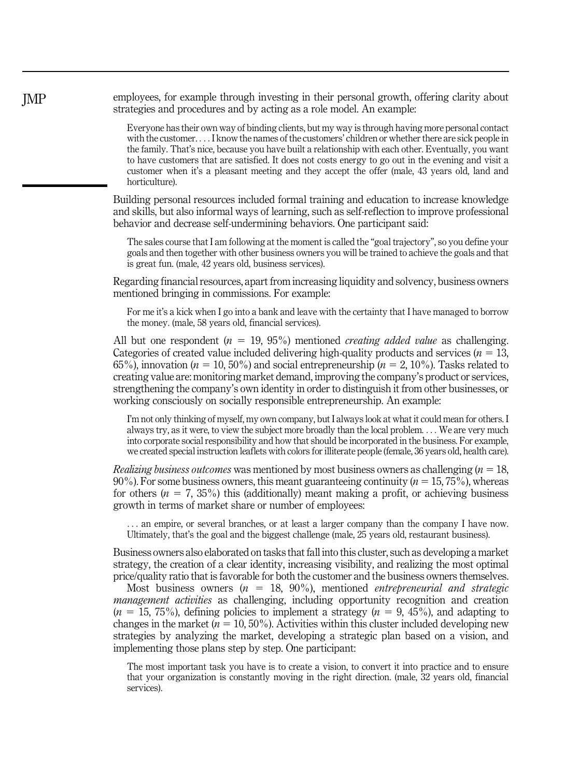employees, for example through investing in their personal growth, offering clarity about strategies and procedures and by acting as a role model. An example:

Everyone has their own way of binding clients, but my way is through having more personal contact with the customer. ... I know the names of the customers' children or whether there are sick people in the family. That's nice, because you have built a relationship with each other. Eventually, you want to have customers that are satisfied. It does not costs energy to go out in the evening and visit a customer when it's a pleasant meeting and they accept the offer (male, 43 years old, land and horticulture).

Building personal resources included formal training and education to increase knowledge and skills, but also informal ways of learning, such as self-reflection to improve professional behavior and decrease self-undermining behaviors. One participant said:

The sales course that I am following at the moment is called the "goal trajectory", so you define your goals and then together with other business owners you will be trained to achieve the goals and that is great fun. (male, 42 years old, business services).

Regarding financial resources, apart from increasing liquidity and solvency, business owners mentioned bringing in commissions. For example:

For me it's a kick when I go into a bank and leave with the certainty that I have managed to borrow the money. (male, 58 years old, financial services).

All but one respondent ( $n = 19, 95\%$ ) mentioned *creating added value* as challenging. Categories of created value included delivering high-quality products and services  $(n = 13,$ 65%), innovation ( $n = 10, 50\%$ ) and social entrepreneurship ( $n = 2, 10\%$ ). Tasks related to creating value are: monitoring market demand, improving the company's product or services, strengthening the company's own identity in order to distinguish it from other businesses, or working consciously on socially responsible entrepreneurship. An example:

I'm not only thinking of myself, my own company, but I always look at what it could mean for others. I always try, as it were, to view the subject more broadly than the local problem. ... We are very much into corporate social responsibility and how that should be incorporated in the business. For example, we created special instruction leaflets with colors for illiterate people (female, 36 years old, health care).

*Realizing business outcomes* was mentioned by most business owners as challenging  $(n = 18,$ 90%). For some business owners, this meant guaranteeing continuity ( $n = 15, 75\%$ ), whereas for others ( $n = 7, 35\%$ ) this (additionally) meant making a profit, or achieving business growth in terms of market share or number of employees:

... an empire, or several branches, or at least a larger company than the company I have now. Ultimately, that's the goal and the biggest challenge (male, 25 years old, restaurant business).

Business owners also elaborated on tasks that fall into this cluster, such as developing a market strategy, the creation of a clear identity, increasing visibility, and realizing the most optimal price/quality ratio that is favorable for both the customer and the business owners themselves.

Most business owners  $(n = 18, 90\%)$ , mentioned *entrepreneurial and strategic* management activities as challenging, including opportunity recognition and creation  $(n = 15, 75\%)$ , defining policies to implement a strategy  $(n = 9, 45\%)$ , and adapting to changes in the market  $(n = 10, 50\%)$ . Activities within this cluster included developing new strategies by analyzing the market, developing a strategic plan based on a vision, and implementing those plans step by step. One participant:

The most important task you have is to create a vision, to convert it into practice and to ensure that your organization is constantly moving in the right direction. (male, 32 years old, financial services).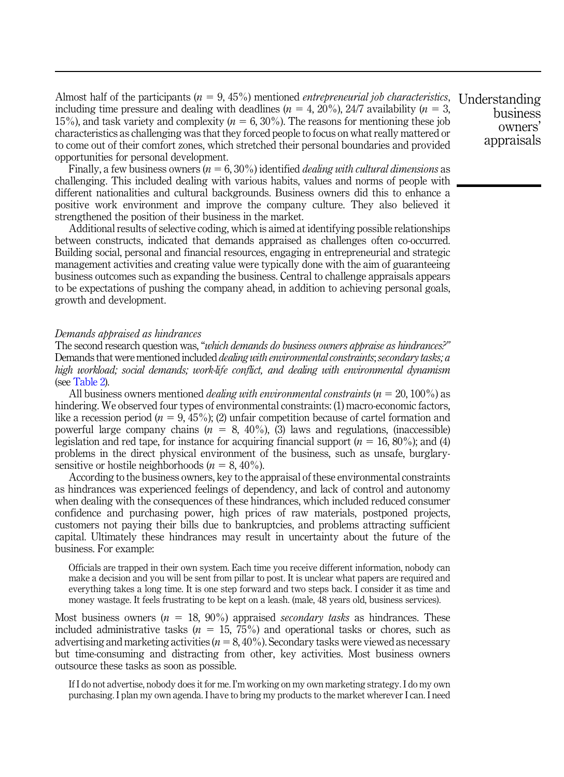Almost half of the participants  $(n = 9, 45%)$  mentioned *entrepreneurial job characteristics*, Understanding including time pressure and dealing with deadlines ( $n = 4, 20\%$ ), 24/7 availability ( $n = 3$ , 15%), and task variety and complexity ( $n = 6, 30%$ ). The reasons for mentioning these job characteristics as challenging was that they forced people to focus on what really mattered or to come out of their comfort zones, which stretched their personal boundaries and provided opportunities for personal development.

Finally, a few business owners ( $n = 6, 30\%$ ) identified *dealing with cultural dimensions* as challenging. This included dealing with various habits, values and norms of people with different nationalities and cultural backgrounds. Business owners did this to enhance a positive work environment and improve the company culture. They also believed it strengthened the position of their business in the market.

Additional results of selective coding, which is aimed at identifying possible relationships between constructs, indicated that demands appraised as challenges often co-occurred. Building social, personal and financial resources, engaging in entrepreneurial and strategic management activities and creating value were typically done with the aim of guaranteeing business outcomes such as expanding the business. Central to challenge appraisals appears to be expectations of pushing the company ahead, in addition to achieving personal goals, growth and development.

# Demands appraised as hindrances

The second research question was, "which demands do business owners appraise as hindrances?" Demands that were mentioned included *dealing with environmental constraints; secondary tasks; a* high workload; social demands; work-life conflict, and dealing with environmental dynamism (see [Table 2\)](#page-9-0).

All business owners mentioned *dealing with environmental constraints* ( $n = 20, 100\%$ ) as hindering. We observed four types of environmental constraints: (1) macro-economic factors, like a recession period ( $n = 9, 45\%$ ); (2) unfair competition because of cartel formation and powerful large company chains  $(n = 8, 40\%)$ , (3) laws and regulations, (inaccessible) legislation and red tape, for instance for acquiring financial support ( $n = 16, 80\%$ ); and (4) problems in the direct physical environment of the business, such as unsafe, burglarysensitive or hostile neighborhoods ( $n = 8, 40\%$ ).

According to the business owners, key to the appraisal of these environmental constraints as hindrances was experienced feelings of dependency, and lack of control and autonomy when dealing with the consequences of these hindrances, which included reduced consumer confidence and purchasing power, high prices of raw materials, postponed projects, customers not paying their bills due to bankruptcies, and problems attracting sufficient capital. Ultimately these hindrances may result in uncertainty about the future of the business. For example:

Officials are trapped in their own system. Each time you receive different information, nobody can make a decision and you will be sent from pillar to post. It is unclear what papers are required and everything takes a long time. It is one step forward and two steps back. I consider it as time and money wastage. It feels frustrating to be kept on a leash. (male, 48 years old, business services).

Most business owners ( $n = 18, 90\%$ ) appraised *secondary tasks* as hindrances. These included administrative tasks ( $n = 15, 75\%$ ) and operational tasks or chores, such as advertising and marketing activities ( $n = 8, 40\%$ ). Secondary tasks were viewed as necessary but time-consuming and distracting from other, key activities. Most business owners outsource these tasks as soon as possible.

If I do not advertise, nobody does it for me. I'm working on my own marketing strategy. I do my own purchasing. I plan my own agenda. I have to bring my products to the market wherever I can. I need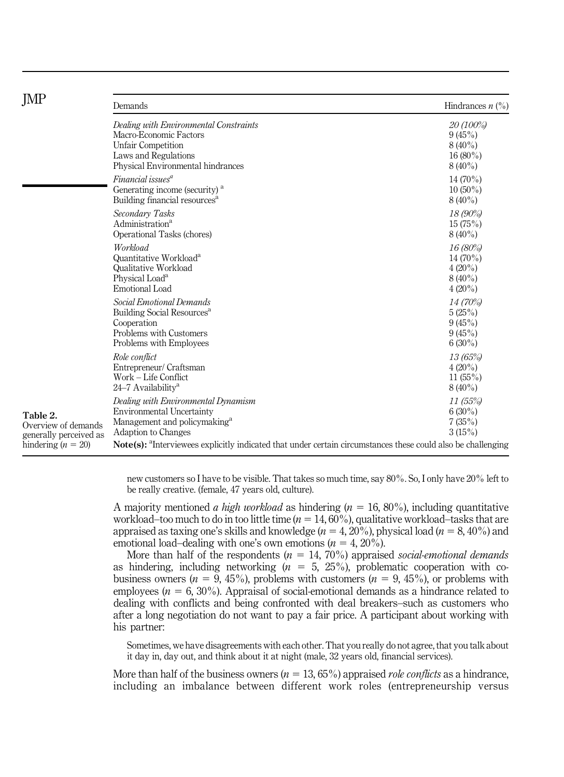<span id="page-9-0"></span>

| <b>IMP</b>                                                                        |                                                                                                                                                                                                                                                                        |                                                               |
|-----------------------------------------------------------------------------------|------------------------------------------------------------------------------------------------------------------------------------------------------------------------------------------------------------------------------------------------------------------------|---------------------------------------------------------------|
|                                                                                   | Demands                                                                                                                                                                                                                                                                | Hindrances $n\binom{0}{0}$                                    |
|                                                                                   | Dealing with Environmental Constraints<br>Macro-Economic Factors<br>Unfair Competition<br>Laws and Regulations<br>Physical Environmental hindrances                                                                                                                    | 20 (100%)<br>9(45%)<br>$8(40\%)$<br>$16(80\%)$<br>$8(40\%)$   |
|                                                                                   | Financial issues <sup>a</sup><br>Generating income (security) <sup>a</sup><br>Building financial resources <sup>a</sup>                                                                                                                                                | $14(70\%)$<br>$10(50\%)$<br>$8(40\%)$                         |
|                                                                                   | Secondary Tasks<br>Administration <sup>a</sup><br>Operational Tasks (chores)                                                                                                                                                                                           | 18 (90%)<br>15(75%)<br>$8(40\%)$                              |
|                                                                                   | Workload<br>Quantitative Workload <sup>a</sup><br>Qualitative Workload<br>Physical Load <sup>a</sup><br>Emotional Load                                                                                                                                                 | 16 (80%)<br>$14(70\%)$<br>$4(20\%)$<br>$8(40\%)$<br>$4(20\%)$ |
|                                                                                   | Social Emotional Demands<br>Building Social Resources <sup>a</sup><br>Cooperation<br>Problems with Customers<br>Problems with Employees                                                                                                                                | 14 (70%)<br>5(25%)<br>9(45%)<br>9(45%)<br>$6(30\%)$           |
|                                                                                   | Role conflict<br>Entrepreneur/ Craftsman<br>Work – Life Conflict<br>24-7 Availability <sup>a</sup>                                                                                                                                                                     | 13 (65%)<br>$4(20\%)$<br>11 $(55%)$<br>$8(40\%)$              |
| Table 2.<br>Overview of demands<br>generally perceived as<br>hindering $(n = 20)$ | Dealing with Environmental Dynamism<br>Environmental Uncertainty<br>Management and policymaking <sup>a</sup><br>Adaption to Changes<br><b>Note(s):</b> <sup>a</sup> Interviewees explicitly indicated that under certain circumstances these could also be challenging | 11(55%)<br>$6(30\%)$<br>7(35%)<br>3(15%)                      |

new customers so I have to be visible. That takes so much time, say 80%. So, I only have 20% left to be really creative. (female, 47 years old, culture).

A majority mentioned *a high workload* as hindering  $(n = 16, 80\%)$ , including quantitative workload–too much to do in too little time  $(n = 14, 60\%)$ , qualitative workload–tasks that are appraised as taxing one's skills and knowledge ( $n = 4, 20\%$ ), physical load ( $n = 8, 40\%$ ) and emotional load–dealing with one's own emotions ( $n = 4, 20\%$ ).

More than half of the respondents ( $n = 14, 70\%$ ) appraised social-emotional demands as hindering, including networking  $(n = 5, 25\%)$ , problematic cooperation with cobusiness owners ( $n = 9, 45\%$ ), problems with customers ( $n = 9, 45\%$ ), or problems with employees ( $n = 6, 30\%$ ). Appraisal of social-emotional demands as a hindrance related to dealing with conflicts and being confronted with deal breakers–such as customers who after a long negotiation do not want to pay a fair price. A participant about working with his partner:

Sometimes, we have disagreements with each other. That you really do not agree, that you talk about it day in, day out, and think about it at night (male, 32 years old, financial services).

More than half of the business owners ( $n = 13,65\%$ ) appraised *role conflicts* as a hindrance, including an imbalance between different work roles (entrepreneurship versus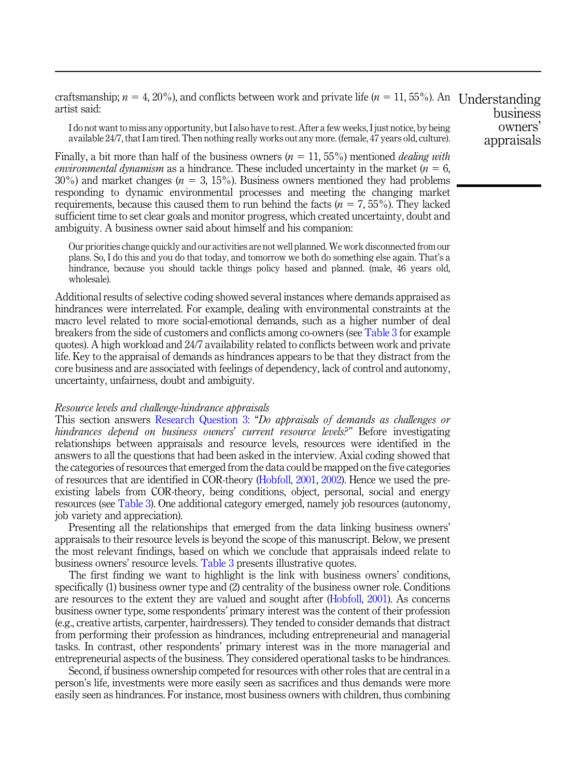craftsmanship;  $n = 4, 20\%$ ), and conflicts between work and private life ( $n = 11, 55\%$ ). An Understanding artist said:

I do not want to miss any opportunity, but I also have to rest. After a few weeks, I just notice, by being available 24/7, that I am tired. Then nothing really works out any more. (female, 47 years old, culture).

Finally, a bit more than half of the business owners ( $n = 11, 55\%$ ) mentioned *dealing with* environmental dynamism as a hindrance. These included uncertainty in the market  $(n = 6)$ , 30%) and market changes ( $n = 3, 15\%$ ). Business owners mentioned they had problems responding to dynamic environmental processes and meeting the changing market requirements, because this caused them to run behind the facts ( $n = 7, 55\%$ ). They lacked sufficient time to set clear goals and monitor progress, which created uncertainty, doubt and ambiguity. A business owner said about himself and his companion:

Our priorities change quickly and our activities are not well planned. We work disconnected from our plans. So, I do this and you do that today, and tomorrow we both do something else again. That's a hindrance, because you should tackle things policy based and planned. (male, 46 years old, wholesale).

Additional results of selective coding showed several instances where demands appraised as hindrances were interrelated. For example, dealing with environmental constraints at the macro level related to more social-emotional demands, such as a higher number of deal breakers from the side of customers and conflicts among co-owners (see [Table 3](#page-11-0) for example quotes). A high workload and 24/7 availability related to conflicts between work and private life. Key to the appraisal of demands as hindrances appears to be that they distract from the core business and are associated with feelings of dependency, lack of control and autonomy, uncertainty, unfairness, doubt and ambiguity.

#### Resource levels and challenge-hindrance appraisals

This section answers [Research Question 3:](#page-5-0) "Do appraisals of demands as challenges or hindrances depend on business owners' current resource levels?" Before investigating relationships between appraisals and resource levels, resources were identified in the answers to all the questions that had been asked in the interview. Axial coding showed that the categories of resources that emerged from the data could be mapped on the five categories of resources that are identified in COR-theory ([Hobfoll, 2001,](#page-18-0) [2002\)](#page-19-0). Hence we used the preexisting labels from COR-theory, being conditions, object, personal, social and energy resources (see [Table 3\)](#page-11-0). One additional category emerged, namely job resources (autonomy, job variety and appreciation).

Presenting all the relationships that emerged from the data linking business owners' appraisals to their resource levels is beyond the scope of this manuscript. Below, we present the most relevant findings, based on which we conclude that appraisals indeed relate to business owners' resource levels. [Table 3](#page-11-0) presents illustrative quotes.

The first finding we want to highlight is the link with business owners' conditions, specifically (1) business owner type and (2) centrality of the business owner role. Conditions are resources to the extent they are valued and sought after ([Hobfoll, 2001](#page-18-0)). As concerns business owner type, some respondents' primary interest was the content of their profession (e.g., creative artists, carpenter, hairdressers). They tended to consider demands that distract from performing their profession as hindrances, including entrepreneurial and managerial tasks. In contrast, other respondents' primary interest was in the more managerial and entrepreneurial aspects of the business. They considered operational tasks to be hindrances.

Second, if business ownership competed for resources with other roles that are central in a person's life, investments were more easily seen as sacrifices and thus demands were more easily seen as hindrances. For instance, most business owners with children, thus combining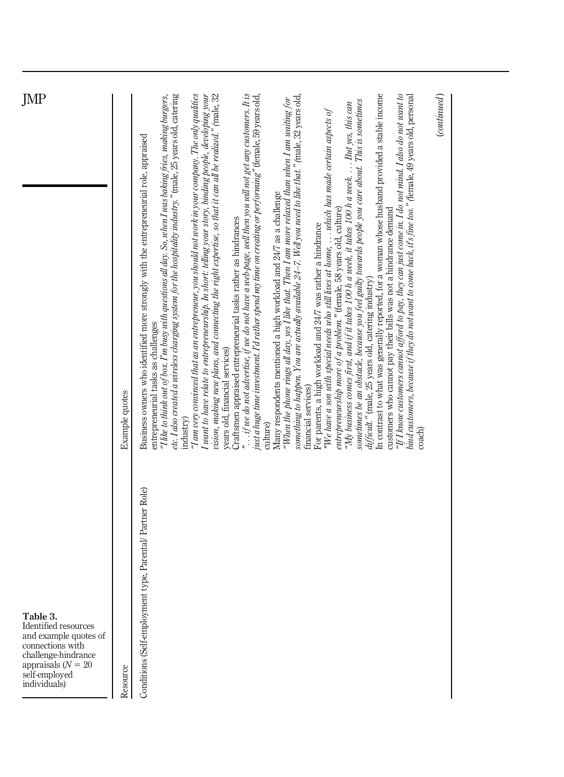<span id="page-11-0"></span>

| JMP                                                                                                                                                            | Example quotes | vision, making new plans, and connecting the right expertise, so that it can all be realized." (male, 32<br>" $\ldots$ if we do not advertise, if we do not have a web-page, well then you will not get any customers. It is<br>In contrast to what was generally reported, for a woman whose husband provided a stable income<br>etc. I also created a unreless charging system for the hospitality industry." (male, 25 years old, catering<br>"I am very convinced that as an entrepreneur, you should not work in your company. The only qualities<br>I want to have relate to entrepreneurship. In short: telling your story, binding people, developing your<br>just a huge time investment. I'd rather spend my time on creating or performing" (temale, 59 years old,<br>"If I know customers cannot afford to pay, they can just come in. I do not mind. I also do not want to<br>$_{\footnotesize {continued}}$<br>"I like to think out of box. I'm busy with questions all day. So, when I was baking fries, making burgers,<br>something to happen. You are actually available 24–7. Well you need to like that." (male, 32 years old,<br>bind customers, because if they do not want to come back, it's fine too." (female, 49 years old, personal<br>"When the phone rings all day, yes I like that. Then I am more relaxed than when I am waiting for<br>sometimes be an obstacle, because you feel guilty towards people you care about. This is sometimes<br>"My business comes first, and if it takes 100 h a week, it takes 100 h a week.  But yes, this can<br>"We have a son with special needs who still lives at home, $\ldots$ which has made certain aspects of<br>Business owners who identified more strongly with the entrepreneurial role, appraised<br>Many respondents mentioned a high workload and 24/7 as a challenge<br>customers who cannot pay their bills was not a hindrance demand<br>entrepreneurship more of a problem." (temale, 58 years old, culture)<br>Craftsmen appraised entrepreneurial tasks rather as hindrances<br>For parents, a high workload and 24/7 was rather a hindrance<br>difficult." (male, 25 years old, catering industry)<br>entrepreneurial tasks as challenges<br>years old, financial services)<br>financial services)<br>industry)<br>culture)<br>coach) |  |
|----------------------------------------------------------------------------------------------------------------------------------------------------------------|----------------|--------------------------------------------------------------------------------------------------------------------------------------------------------------------------------------------------------------------------------------------------------------------------------------------------------------------------------------------------------------------------------------------------------------------------------------------------------------------------------------------------------------------------------------------------------------------------------------------------------------------------------------------------------------------------------------------------------------------------------------------------------------------------------------------------------------------------------------------------------------------------------------------------------------------------------------------------------------------------------------------------------------------------------------------------------------------------------------------------------------------------------------------------------------------------------------------------------------------------------------------------------------------------------------------------------------------------------------------------------------------------------------------------------------------------------------------------------------------------------------------------------------------------------------------------------------------------------------------------------------------------------------------------------------------------------------------------------------------------------------------------------------------------------------------------------------------------------------------------------------------------------------------------------------------------------------------------------------------------------------------------------------------------------------------------------------------------------------------------------------------------------------------------------------------------------------------------------------------------------------------------------------------------------------------------------------------------------|--|
| Table 3.<br>Identified resources<br>and example quotes of<br>connections with<br>challenge-hindrance<br>appraisals $(N = 20)$<br>self-employed<br>individuals) | Resource       | Conditions (Self-employment type, Parental/ Partner Role)                                                                                                                                                                                                                                                                                                                                                                                                                                                                                                                                                                                                                                                                                                                                                                                                                                                                                                                                                                                                                                                                                                                                                                                                                                                                                                                                                                                                                                                                                                                                                                                                                                                                                                                                                                                                                                                                                                                                                                                                                                                                                                                                                                                                                                                                      |  |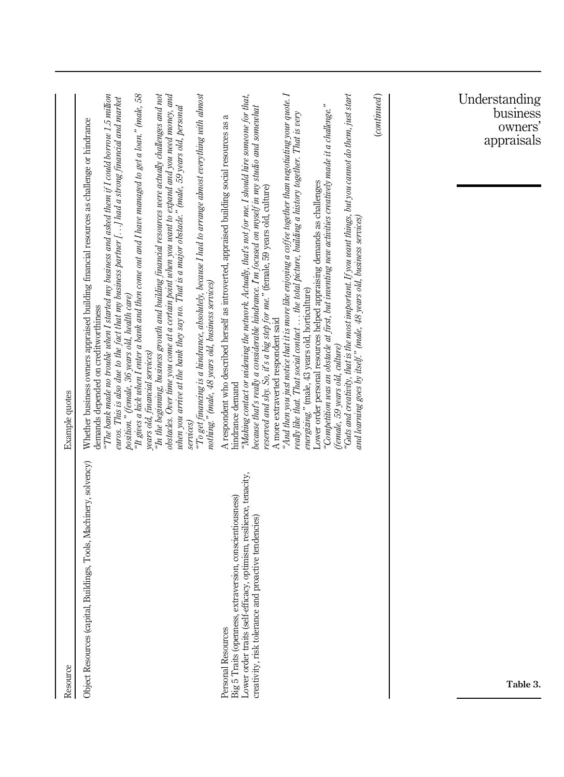| Resource                                                                                                                                                                                                        | Example quotes                                                                                                                                                                                                                                                                                                                                                                                                                                                                                                                                                                                                                                                                                                                                                                                                                                                                                                                                                                                                                                                                                                                                         |
|-----------------------------------------------------------------------------------------------------------------------------------------------------------------------------------------------------------------|--------------------------------------------------------------------------------------------------------------------------------------------------------------------------------------------------------------------------------------------------------------------------------------------------------------------------------------------------------------------------------------------------------------------------------------------------------------------------------------------------------------------------------------------------------------------------------------------------------------------------------------------------------------------------------------------------------------------------------------------------------------------------------------------------------------------------------------------------------------------------------------------------------------------------------------------------------------------------------------------------------------------------------------------------------------------------------------------------------------------------------------------------------|
| Object Resources (capital, Buildings, Tools, Machinery, solvency)                                                                                                                                               | "It gives a kick when I enter a bank and then come out and I have managed to get a loan." (male, 58)<br>obstacles. Over time you come at a certain point when you want to expand and you need money, and<br>"The bank made no trouble when I started my business and asked them if I could borrow 1.5 million<br>'In the beginning, business growth and building financial resources were actually challenges and not<br>"To get financing is a hindrance, absolutely, because I had to arrange almost everything with almost<br>euros. This is also due to the fact that my business partner [.] had a strong financial and market<br>when you arrive at the bank they say no. That is a major obstacle." (male, 59 years old, personal<br>Whether business owners appraised building financial resources as challenge or hindrance<br>nothing." (male, 48 years old, business services)<br>bosition." (female, 36 years old, health care)<br>demands depended on creditworthiness<br>years old, financial services)<br>services)                                                                                                                     |
| Lower order traits (self-efficacy, optimism, resilience, tenacity,<br>Big 5 Traits (openness, extraversion, conscientiousness)<br>proactive tendencies)<br>creativity, risk tolerance and<br>Personal Resources | "And then you just notice that it is more like enjoying a coffee together than negotiating your quote. I<br>"Guts and creativity, that is the most important. If you want things, but you cannot do them, just start<br>"Making contact or widening the network. Actually, that's not for me. I should hire someone for that,<br>$_{(continued)}$<br>"Competition was an obstacle at first, but inventing new activities creatively made it a challenge."<br>because that's really a considerable hindrance. I'm focused on myself in my studio and somewhat<br>really like that. That social contact the total picture, building a history together. That is very<br>A respondent who described herself as introverted, appraised building social resources as a<br>Lower order personal resources helped appraising demands as challenges<br>reserved and shy. So, it's a big step for me." (female, 59 years old, culture)<br>and learning goes by itself." (male, 48 years old, business services)<br>energizing." (male, 43 years old, horticulture)<br>A more extraverted respondent said<br>(female, 59 years old, culture)<br>hindrance demand |
| Table 3.                                                                                                                                                                                                        | Understanding<br>business<br>owners'<br>appraisals                                                                                                                                                                                                                                                                                                                                                                                                                                                                                                                                                                                                                                                                                                                                                                                                                                                                                                                                                                                                                                                                                                     |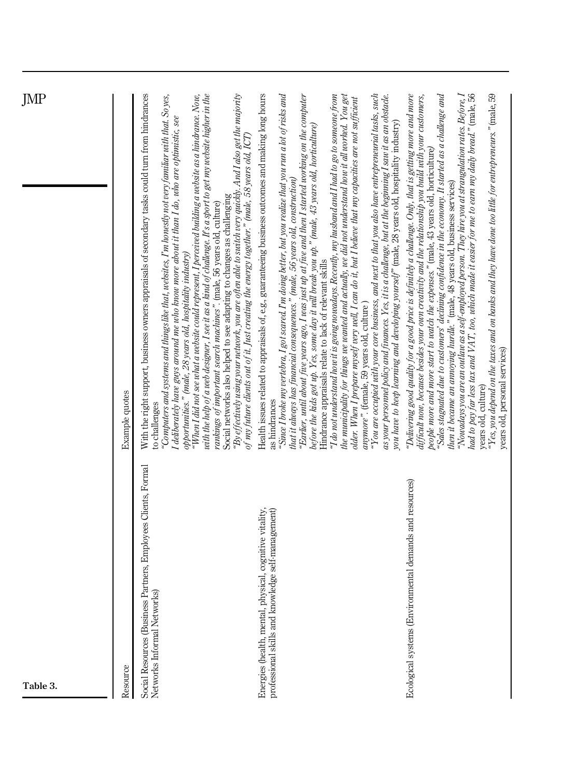| Table 3.                                                                                                      | JMP                                                                                                                                                                                                                                                                                                                                                                                                                                                                                                                                                                                                                                                                                                                                                                                                                                                                                                                                                                                                                                                                                                                                                                                                                                                                                            |
|---------------------------------------------------------------------------------------------------------------|------------------------------------------------------------------------------------------------------------------------------------------------------------------------------------------------------------------------------------------------------------------------------------------------------------------------------------------------------------------------------------------------------------------------------------------------------------------------------------------------------------------------------------------------------------------------------------------------------------------------------------------------------------------------------------------------------------------------------------------------------------------------------------------------------------------------------------------------------------------------------------------------------------------------------------------------------------------------------------------------------------------------------------------------------------------------------------------------------------------------------------------------------------------------------------------------------------------------------------------------------------------------------------------------|
| Resource                                                                                                      | Example quotes                                                                                                                                                                                                                                                                                                                                                                                                                                                                                                                                                                                                                                                                                                                                                                                                                                                                                                                                                                                                                                                                                                                                                                                                                                                                                 |
| Social Resources (Business Partners, Employees Clients, Formal<br>Networks Informal Networks)                 | With the right support, business owners appraisals of secondary tasks could turn from hindrances<br>with the help of a web designer, I see it as a kind of challenge. It's a sport to get my website higher in the<br>"By effectively using your network, you are often able to switch very quickly. And I also get the majority<br>"Computers and systems and things like that, websites, I'm honestly not very familiar with that. So yes,<br>"When I did not see what a website could represent, I perceived building a website as a hindrance. Now,<br>I deliberately have guys around me who know more about it than I do, who are optimistic, see<br>of my future clients out of it. Just creating the energy together." (male, 58 years old, ICT)<br>Social networks also helped to see adapting to changes as challenging<br>rankings of important search machines". (male, 56 years old, culture)<br>opportunities." (male, 28 years old, hospitality industry)<br>to challenges                                                                                                                                                                                                                                                                                                      |
| Energies (health, mental, physical, cognitive vitality,<br>professional skills and knowledge self-management) | "You are occupied with your core business, and next to that you also have entrepreneurial tasks, such<br>Health issues related to appraisals of, e.g., guaranteeing business outcomes and making long hours<br>"Since I broke my vertebra, I got scared. I'm doing better, but you realize that you run a lot of risks and<br>the municipality for things we wanted and actually, we did not understand how it all worked. You get<br>that it always has financial consequences." (male, 56 years old, construction)<br>"Earlier, until about five years ago, I was just up at five and then I started working on the computer<br>'I do not understand how it is going nouvadays. Recently, my husband and I had to go to someone from<br>as your personnel policy and finances. Yes, it is a challenge, but at the beginning I saw it as an obstacle.<br>older. When I prepare myself very well, I can do it, but I believe that my capacities are not sufficient<br>you have to keep learning and developing yourself" (male, 28 years old, hospitality industry)<br>before the kids got up. Yes, some day it will break you up." (male, 43 years old, horticulture)<br>Hindrance appraisals relate to lack of relevant skills<br>anymore". (female, 59 years old, culture)<br>as hindrances |
| Ecological systems (Environmental demands and resources)                                                      | "Nowadays you are an outlaw as a self-employed person. They hire you at strangulation rates. Before, I<br>had to pay far less tax and VAT, too, which made it easier for me to earn my daily bread." (male, 56<br>"Delivering good quality for a good price is definitely a challenge. Only, that is getting more and more<br>"Sales stagnated due to customers' declining confidence in the economy. It started as a challenge and<br>"Yes, you depend on the taxes and on banks and they have done too little for entrepreneurs." (male, 59<br>difficult now, because besides your own creativity and the relationship you build with your customers,<br>people more and more start to watch the expenses." (male, 43 years old, horticulture)<br>then it became an annoying hurdle." (male, 48 years old, business services)<br>years old, personal services)<br>years old, culture)                                                                                                                                                                                                                                                                                                                                                                                                        |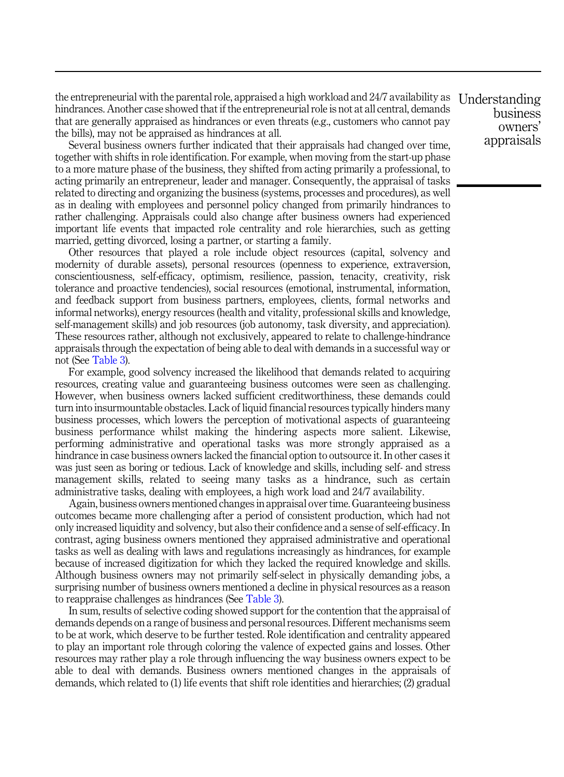the entrepreneurial with the parental role, appraised a high workload and 24/7 availability as Understanding hindrances. Another case showed that if the entrepreneurial role is not at all central, demands that are generally appraised as hindrances or even threats (e.g., customers who cannot pay the bills), may not be appraised as hindrances at all.

Several business owners further indicated that their appraisals had changed over time, together with shifts in role identification. For example, when moving from the start-up phase to a more mature phase of the business, they shifted from acting primarily a professional, to acting primarily an entrepreneur, leader and manager. Consequently, the appraisal of tasks related to directing and organizing the business (systems, processes and procedures), as well as in dealing with employees and personnel policy changed from primarily hindrances to rather challenging. Appraisals could also change after business owners had experienced important life events that impacted role centrality and role hierarchies, such as getting married, getting divorced, losing a partner, or starting a family.

Other resources that played a role include object resources (capital, solvency and modernity of durable assets), personal resources (openness to experience, extraversion, conscientiousness, self-efficacy, optimism, resilience, passion, tenacity, creativity, risk tolerance and proactive tendencies), social resources (emotional, instrumental, information, and feedback support from business partners, employees, clients, formal networks and informal networks), energy resources (health and vitality, professional skills and knowledge, self-management skills) and job resources (job autonomy, task diversity, and appreciation). These resources rather, although not exclusively, appeared to relate to challenge-hindrance appraisals through the expectation of being able to deal with demands in a successful way or not (See [Table 3](#page-11-0)).

For example, good solvency increased the likelihood that demands related to acquiring resources, creating value and guaranteeing business outcomes were seen as challenging. However, when business owners lacked sufficient creditworthiness, these demands could turn into insurmountable obstacles. Lack of liquid financial resources typically hinders many business processes, which lowers the perception of motivational aspects of guaranteeing business performance whilst making the hindering aspects more salient. Likewise, performing administrative and operational tasks was more strongly appraised as a hindrance in case business owners lacked the financial option to outsource it. In other cases it was just seen as boring or tedious. Lack of knowledge and skills, including self- and stress management skills, related to seeing many tasks as a hindrance, such as certain administrative tasks, dealing with employees, a high work load and 24/7 availability.

Again, business owners mentioned changes in appraisal over time. Guaranteeing business outcomes became more challenging after a period of consistent production, which had not only increased liquidity and solvency, but also their confidence and a sense of self-efficacy. In contrast, aging business owners mentioned they appraised administrative and operational tasks as well as dealing with laws and regulations increasingly as hindrances, for example because of increased digitization for which they lacked the required knowledge and skills. Although business owners may not primarily self-select in physically demanding jobs, a surprising number of business owners mentioned a decline in physical resources as a reason to reappraise challenges as hindrances (See [Table 3](#page-11-0)).

In sum, results of selective coding showed support for the contention that the appraisal of demands depends on a range of business and personal resources. Different mechanisms seem to be at work, which deserve to be further tested. Role identification and centrality appeared to play an important role through coloring the valence of expected gains and losses. Other resources may rather play a role through influencing the way business owners expect to be able to deal with demands. Business owners mentioned changes in the appraisals of demands, which related to (1) life events that shift role identities and hierarchies; (2) gradual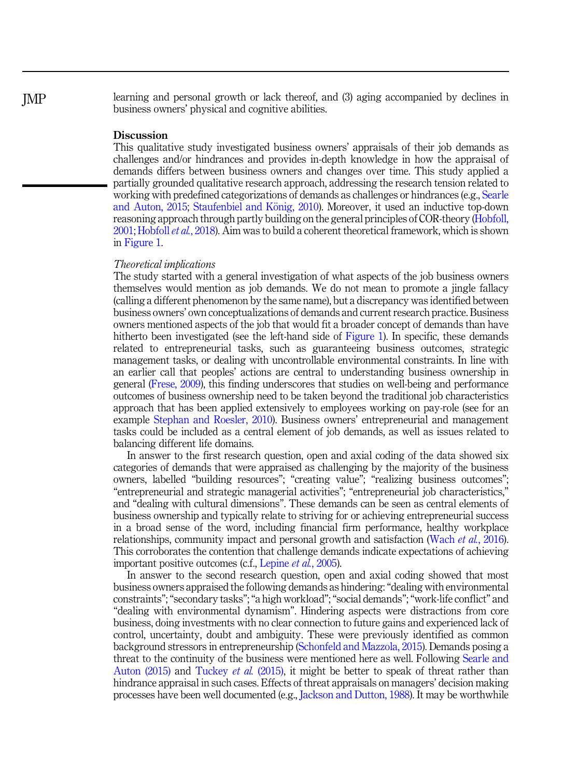learning and personal growth or lack thereof, and (3) aging accompanied by declines in business owners' physical and cognitive abilities.

# **Discussion**

This qualitative study investigated business owners' appraisals of their job demands as challenges and/or hindrances and provides in-depth knowledge in how the appraisal of demands differs between business owners and changes over time. This study applied a partially grounded qualitative research approach, addressing the research tension related to working with predefined categorizations of demands as challenges or hindrances (e.g., [Searle](#page-19-0) [and Auton, 2015;](#page-19-0) [Staufenbiel and K](#page-20-0)ö[nig, 2010\)](#page-20-0). Moreover, it used an inductive top-down reasoning approach through partly building on the general principles of COR-theory [\(Hobfoll,](#page-18-0) [2001;](#page-18-0) [Hobfoll](#page-19-0) et al., 2018). Aim was to build a coherent theoretical framework, which is shown in [Figure 1.](#page-2-0)

#### Theoretical implications

The study started with a general investigation of what aspects of the job business owners themselves would mention as job demands. We do not mean to promote a jingle fallacy (calling a different phenomenon by the same name), but a discrepancy was identified between business owners' own conceptualizations of demands and current research practice. Business owners mentioned aspects of the job that would fit a broader concept of demands than have hitherto been investigated (see the left-hand side of [Figure 1](#page-2-0)). In specific, these demands related to entrepreneurial tasks, such as guaranteeing business outcomes, strategic management tasks, or dealing with uncontrollable environmental constraints. In line with an earlier call that peoples' actions are central to understanding business ownership in general [\(Frese, 2009\)](#page-18-0), this finding underscores that studies on well-being and performance outcomes of business ownership need to be taken beyond the traditional job characteristics approach that has been applied extensively to employees working on pay-role (see for an example [Stephan and Roesler, 2010](#page-20-0)). Business owners' entrepreneurial and management tasks could be included as a central element of job demands, as well as issues related to balancing different life domains.

In answer to the first research question, open and axial coding of the data showed six categories of demands that were appraised as challenging by the majority of the business owners, labelled "building resources"; "creating value"; "realizing business outcomes"; "entrepreneurial and strategic managerial activities"; "entrepreneurial job characteristics," and "dealing with cultural dimensions". These demands can be seen as central elements of business ownership and typically relate to striving for or achieving entrepreneurial success in a broad sense of the word, including financial firm performance, healthy workplace relationships, community impact and personal growth and satisfaction (Wach et al.[, 2016\)](#page-20-0). This corroborates the contention that challenge demands indicate expectations of achieving important positive outcomes (c.f., [Lepine](#page-19-0) *et al.*, 2005).

In answer to the second research question, open and axial coding showed that most business owners appraised the following demands as hindering:"dealing with environmental constraints";"secondary tasks";"a high workload";"social demands";"work-life conflict" and "dealing with environmental dynamism". Hindering aspects were distractions from core business, doing investments with no clear connection to future gains and experienced lack of control, uncertainty, doubt and ambiguity. These were previously identified as common background stressors in entrepreneurship [\(Schonfeld and Mazzola, 2015](#page-19-0)). Demands posing a threat to the continuity of the business were mentioned here as well. Following [Searle and](#page-19-0) [Auton \(2015\)](#page-19-0) and [Tuckey](#page-20-0) et al. (2015), it might be better to speak of threat rather than hindrance appraisal in such cases. Effects of threat appraisals on managers' decision making processes have been well documented (e.g., [Jackson and Dutton, 1988](#page-19-0)). It may be worthwhile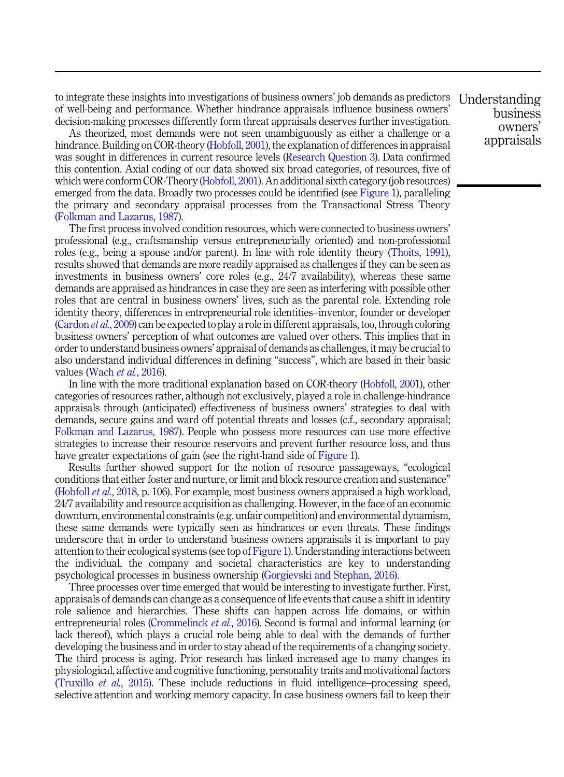to integrate these insights into investigations of business owners' job demands as predictors of well-being and performance. Whether hindrance appraisals influence business owners' decision-making processes differently form threat appraisals deserves further investigation.

As theorized, most demands were not seen unambiguously as either a challenge or a hindrance. Building on COR-theory [\(Hobfoll, 2001](#page-18-0)), the explanation of differences in appraisal was sought in differences in current resource levels [\(Research Question 3](#page-5-0)). Data confirmed this contention. Axial coding of our data showed six broad categories, of resources, five of which were conform COR-Theory [\(Hobfoll, 2001](#page-18-0)). An additional sixth category (job resources) emerged from the data. Broadly two processes could be identified (see [Figure 1\)](#page-2-0), paralleling the primary and secondary appraisal processes from the Transactional Stress Theory ([Folkman and Lazarus, 1987](#page-18-0)).

The first process involved condition resources, which were connected to business owners' professional (e.g., craftsmanship versus entrepreneurially oriented) and non-professional roles (e.g., being a spouse and/or parent). In line with role identity theory ([Thoits, 1991\)](#page-20-0), results showed that demands are more readily appraised as challenges if they can be seen as investments in business owners' core roles (e.g., 24/7 availability), whereas these same demands are appraised as hindrances in case they are seen as interfering with possible other roles that are central in business owners' lives, such as the parental role. Extending role identity theory, differences in entrepreneurial role identities–inventor, founder or developer ([Cardon](#page-18-0) *et al.*, 2009) can be expected to play a role in different appraisals, too, through coloring business owners' perception of what outcomes are valued over others. This implies that in order to understand business owners' appraisal of demands as challenges, it may be crucial to also understand individual differences in defining "success", which are based in their basic values (Wach et al.[, 2016\)](#page-20-0).

In line with the more traditional explanation based on COR-theory ([Hobfoll, 2001\)](#page-18-0), other categories of resources rather, although not exclusively, played a role in challenge-hindrance appraisals through (anticipated) effectiveness of business owners' strategies to deal with demands, secure gains and ward off potential threats and losses (c.f., secondary appraisal; [Folkman and Lazarus, 1987\)](#page-18-0). People who possess more resources can use more effective strategies to increase their resource reservoirs and prevent further resource loss, and thus have greater expectations of gain (see the right-hand side of [Figure 1\)](#page-2-0).

Results further showed support for the notion of resource passageways, "ecological conditions that either foster and nurture, or limit and block resource creation and sustenance" ([Hobfoll](#page-19-0) et al., 2018, p. 106). For example, most business owners appraised a high workload, 24/7 availability and resource acquisition as challenging. However, in the face of an economic downturn, environmental constraints (e.g. unfair competition) and environmental dynamism, these same demands were typically seen as hindrances or even threats. These findings underscore that in order to understand business owners appraisals it is important to pay attention to their ecological systems (see top of [Figure 1](#page-2-0)). Understanding interactions between the individual, the company and societal characteristics are key to understanding psychological processes in business ownership [\(Gorgievski and Stephan, 2016](#page-18-0)).

Three processes over time emerged that would be interesting to investigate further. First, appraisals of demands can change as a consequence of life events that cause a shift in identity role salience and hierarchies. These shifts can happen across life domains, or within entrepreneurial roles ([Crommelinck](#page-18-0) *et al.*, 2016). Second is formal and informal learning (or lack thereof), which plays a crucial role being able to deal with the demands of further developing the business and in order to stay ahead of the requirements of a changing society. The third process is aging. Prior research has linked increased age to many changes in physiological, affective and cognitive functioning, personality traits and motivational factors ([Truxillo](#page-20-0) et al., 2015). These include reductions in fluid intelligence–processing speed, selective attention and working memory capacity. In case business owners fail to keep their

Understanding business owners' appraisals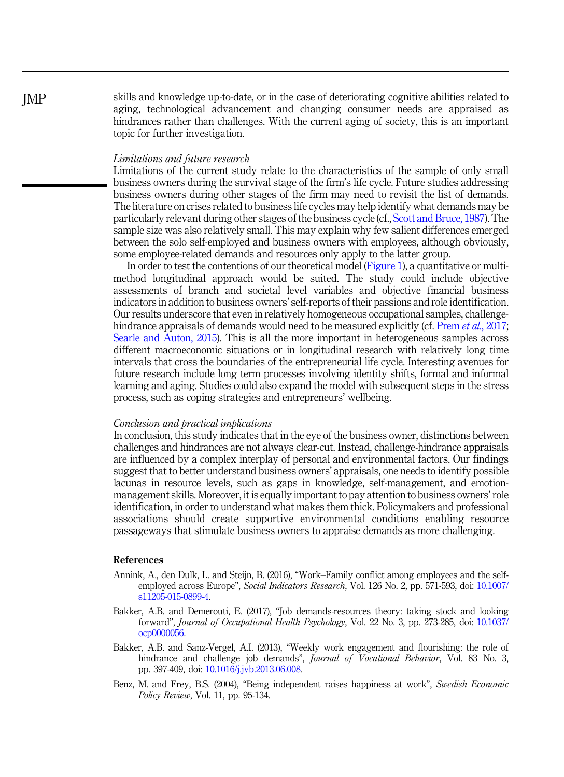<span id="page-17-0"></span>skills and knowledge up-to-date, or in the case of deteriorating cognitive abilities related to aging, technological advancement and changing consumer needs are appraised as hindrances rather than challenges. With the current aging of society, this is an important topic for further investigation.

# Limitations and future research

Limitations of the current study relate to the characteristics of the sample of only small business owners during the survival stage of the firm's life cycle. Future studies addressing business owners during other stages of the firm may need to revisit the list of demands. The literature on crises related to business life cycles may help identify what demands may be particularly relevant during other stages of the business cycle (cf., [Scott and Bruce, 1987](#page-19-0)). The sample size was also relatively small. This may explain why few salient differences emerged between the solo self-employed and business owners with employees, although obviously, some employee-related demands and resources only apply to the latter group.

In order to test the contentions of our theoretical model ([Figure 1](#page-2-0)), a quantitative or multimethod longitudinal approach would be suited. The study could include objective assessments of branch and societal level variables and objective financial business indicators in addition to business owners' self-reports of their passions and role identification. Our results underscore that even in relatively homogeneous occupational samples, challengehindrance appraisals of demands would need to be measured explicitly (cf. Prem *et al.*[, 2017](#page-19-0); [Searle and Auton, 2015\)](#page-19-0). This is all the more important in heterogeneous samples across different macroeconomic situations or in longitudinal research with relatively long time intervals that cross the boundaries of the entrepreneurial life cycle. Interesting avenues for future research include long term processes involving identity shifts, formal and informal learning and aging. Studies could also expand the model with subsequent steps in the stress process, such as coping strategies and entrepreneurs' wellbeing.

#### Conclusion and practical implications

In conclusion, this study indicates that in the eye of the business owner, distinctions between challenges and hindrances are not always clear-cut. Instead, challenge-hindrance appraisals are influenced by a complex interplay of personal and environmental factors. Our findings suggest that to better understand business owners' appraisals, one needs to identify possible lacunas in resource levels, such as gaps in knowledge, self-management, and emotionmanagement skills. Moreover, it is equally important to pay attention to business owners'role identification, in order to understand what makes them thick. Policymakers and professional associations should create supportive environmental conditions enabling resource passageways that stimulate business owners to appraise demands as more challenging.

#### References

- Annink, A., den Dulk, L. and Steijn, B. (2016), "Work–Family conflict among employees and the selfemployed across Europe", Social Indicators Research, Vol. 126 No. 2, pp. 571-593, doi: [10.1007/](https://doi.org/10.1007/s11205-015-0899-4) [s11205-015-0899-4.](https://doi.org/10.1007/s11205-015-0899-4)
- Bakker, A.B. and Demerouti, E. (2017), "Job demands-resources theory: taking stock and looking forward", Journal of Occupational Health Psychology, Vol. 22 No. 3, pp. 273-285, doi: [10.1037/](https://doi.org/10.1037/ocp0000056) [ocp0000056.](https://doi.org/10.1037/ocp0000056)
- Bakker, A.B. and Sanz-Vergel, A.I. (2013), "Weekly work engagement and flourishing: the role of hindrance and challenge job demands", Journal of Vocational Behavior, Vol. 83 No. 3, pp. 397-409, doi: [10.1016/j.jvb.2013.06.008](https://doi.org/10.1016/j.jvb.2013.06.008).
- Benz, M. and Frey, B.S. (2004), "Being independent raises happiness at work", Swedish Economic Policy Review, Vol. 11, pp. 95-134.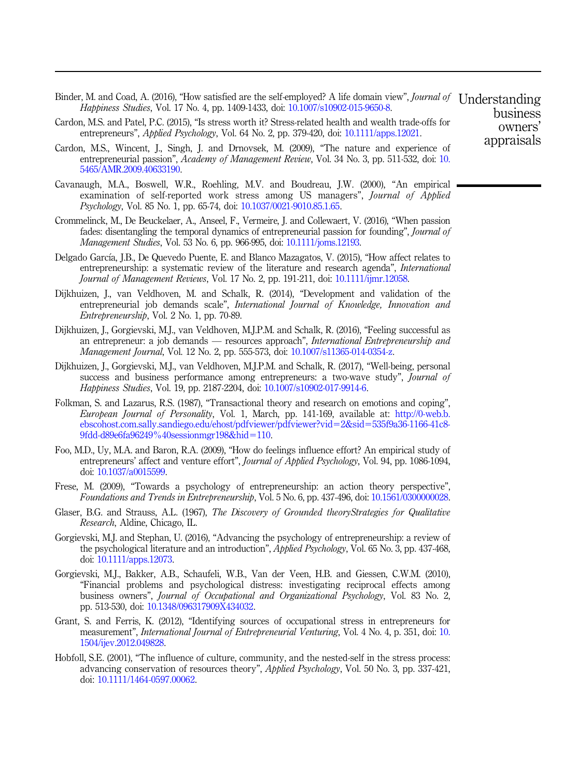- <span id="page-18-0"></span>Binder, M. and Coad, A. (2016), "How satisfied are the self-employed? A life domain view", *Journal of* Understanding<br>Lightnings Studies Vol. 17 No. 4 ap 1400-1422, doi: 10,1007/010000.015.0650.0 Happiness Studies, Vol. 17 No. 4, pp. 1409-1433, doi: [10.1007/s10902-015-9650-8.](https://doi.org/10.1007/s10902-015-9650-8)
- Cardon, M.S. and Patel, P.C. (2015), "Is stress worth it? Stress-related health and wealth trade-offs for entrepreneurs", *Applied Psychology*, Vol. 64 No. 2, pp. 379-420, doi: [10.1111/apps.12021](https://doi.org/10.1111/apps.12021).
- Cardon, M.S., Wincent, J., Singh, J. and Drnovsek, M. (2009), "The nature and experience of entrepreneurial passion", *Academy of Management Review*, Vol. 34 No. 3, pp. 511-532, doi: [10.](https://doi.org/10.5465/AMR.2009.40633190) [5465/AMR.2009.40633190.](https://doi.org/10.5465/AMR.2009.40633190)
- Cavanaugh, M.A., Boswell, W.R., Roehling, M.V. and Boudreau, J.W. (2000), "An empirical examination of self-reported work stress among US managers", Journal of Applied Psychology, Vol. 85 No. 1, pp. 65-74, doi: [10.1037/0021-9010.85.1.65](https://doi.org/10.1037/0021-9010.85.1.65).
- Crommelinck, M., De Beuckelaer, A., Anseel, F., Vermeire, J. and Collewaert, V. (2016), "When passion fades: disentangling the temporal dynamics of entrepreneurial passion for founding", *Journal of* Management Studies, Vol. 53 No. 6, pp. 966-995, doi: [10.1111/joms.12193](https://doi.org/10.1111/joms.12193).
- Delgado García, J.B., De Quevedo Puente, E. and Blanco Mazagatos, V. (2015), "How affect relates to entrepreneurship: a systematic review of the literature and research agenda", International Journal of Management Reviews, Vol. 17 No. 2, pp. 191-211, doi: [10.1111/ijmr.12058.](https://doi.org/10.1111/ijmr.12058)
- Dijkhuizen, J., van Veldhoven, M. and Schalk, R. (2014), "Development and validation of the entrepreneurial job demands scale", International Journal of Knowledge, Innovation and Entrepreneurship, Vol. 2 No. 1, pp. 70-89.
- Dijkhuizen, J., Gorgievski, M.J., van Veldhoven, M.J.P.M. and Schalk, R. (2016), "Feeling successful as an entrepreneur: a job demands — resources approach", International Entrepreneurship and Management Journal, Vol. 12 No. 2, pp. 555-573, doi: [10.1007/s11365-014-0354-z](https://doi.org/10.1007/s11365-014-0354-z).
- Dijkhuizen, J., Gorgievski, M.J., van Veldhoven, M.J.P.M. and Schalk, R. (2017), "Well-being, personal success and business performance among entrepreneurs: a two-wave study", Journal of Happiness Studies, Vol. 19, pp. 2187-2204, doi: [10.1007/s10902-017-9914-6.](https://doi.org/10.1007/s10902-017-9914-6)
- Folkman, S. and Lazarus, R.S. (1987), "Transactional theory and research on emotions and coping", European Journal of Personality, Vol. 1, March, pp. 141-169, available at: [http://0-web.b.](http://0-web.b.ebscohost.com.sally.sandiego.edu/ehost/pdfviewer/pdfviewer?vid=2&sid=535f9a36-1166-41c8-9fdd-d89e6fa96249%40sessionmgr198&hid=110) [ebscohost.com.sally.sandiego.edu/ehost/pdfviewer/pdfviewer?vid](http://0-web.b.ebscohost.com.sally.sandiego.edu/ehost/pdfviewer/pdfviewer?vid=2&sid=535f9a36-1166-41c8-9fdd-d89e6fa96249%40sessionmgr198&hid=110)=[2&sid](http://0-web.b.ebscohost.com.sally.sandiego.edu/ehost/pdfviewer/pdfviewer?vid=2&sid=535f9a36-1166-41c8-9fdd-d89e6fa96249%40sessionmgr198&hid=110)=[535f9a36-1166-41c8-](http://0-web.b.ebscohost.com.sally.sandiego.edu/ehost/pdfviewer/pdfviewer?vid=2&sid=535f9a36-1166-41c8-9fdd-d89e6fa96249%40sessionmgr198&hid=110) [9fdd-d89e6fa96249%40sessionmgr198&hid](http://0-web.b.ebscohost.com.sally.sandiego.edu/ehost/pdfviewer/pdfviewer?vid=2&sid=535f9a36-1166-41c8-9fdd-d89e6fa96249%40sessionmgr198&hid=110)=[110.](http://0-web.b.ebscohost.com.sally.sandiego.edu/ehost/pdfviewer/pdfviewer?vid=2&sid=535f9a36-1166-41c8-9fdd-d89e6fa96249%40sessionmgr198&hid=110)
- Foo, M.D., Uy, M.A. and Baron, R.A. (2009), "How do feelings influence effort? An empirical study of entrepreneurs' affect and venture effort", Journal of Applied Psychology, Vol. 94, pp. 1086-1094, doi: [10.1037/a0015599.](https://doi.org/10.1037/a0015599)
- Frese, M. (2009), "Towards a psychology of entrepreneurship: an action theory perspective", Foundations and Trends in Entrepreneurship, Vol. 5 No. 6, pp. 437-496, doi: [10.1561/0300000028](https://doi.org/10.1561/0300000028).
- Glaser, B.G. and Strauss, A.L. (1967), The Discovery of Grounded theoryStrategies for Qualitative Research, Aldine, Chicago, IL.
- Gorgievski, M.J. and Stephan, U. (2016), "Advancing the psychology of entrepreneurship: a review of the psychological literature and an introduction", Applied Psychology, Vol. 65 No. 3, pp. 437-468, doi: [10.1111/apps.12073.](https://doi.org/10.1111/apps.12073)
- Gorgievski, M.J., Bakker, A.B., Schaufeli, W.B., Van der Veen, H.B. and Giessen, C.W.M. (2010), "Financial problems and psychological distress: investigating reciprocal effects among business owners", Journal of Occupational and Organizational Psychology, Vol. 83 No. 2, pp. 513-530, doi: [10.1348/096317909X434032.](https://doi.org/10.1348/096317909X434032)
- Grant, S. and Ferris, K. (2012), "Identifying sources of occupational stress in entrepreneurs for measurement", International Journal of Entrepreneurial Venturing, Vol. 4 No. 4, p. 351, doi: [10.](https://doi.org/10.1504/ijev.2012.049828) [1504/ijev.2012.049828](https://doi.org/10.1504/ijev.2012.049828).
- Hobfoll, S.E. (2001), "The influence of culture, community, and the nested-self in the stress process: advancing conservation of resources theory", Applied Psychology, Vol. 50 No. 3, pp. 337-421, doi: [10.1111/1464-0597.00062.](https://doi.org/10.1111/1464-0597.00062)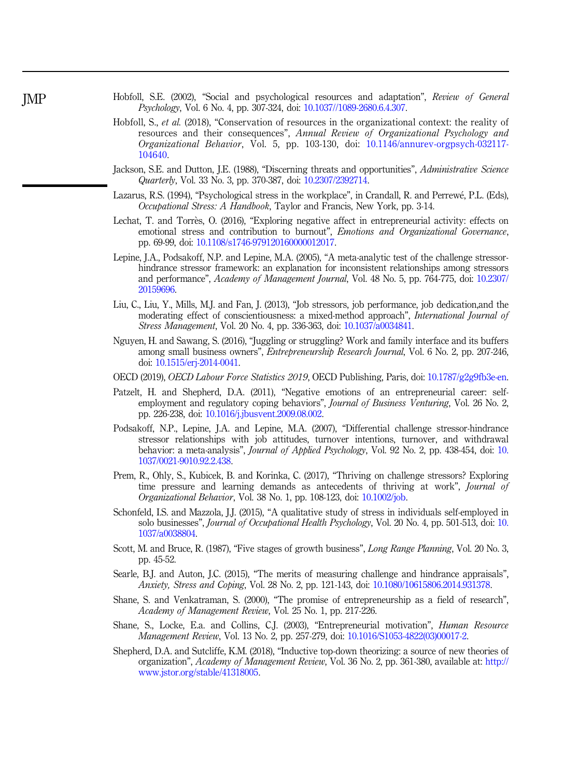- <span id="page-19-0"></span>Hobfoll, S.E. (2002), "Social and psychological resources and adaptation", Review of General Psychology, Vol. 6 No. 4, pp. 307-324, doi: [10.1037//1089-2680.6.4.307.](https://doi.org/10.1037//1089-2680.6.4.307)
- Hobfoll, S., et al. (2018), "Conservation of resources in the organizational context: the reality of resources and their consequences", Annual Review of Organizational Psychology and Organizational Behavior, Vol. 5, pp. 103-130, doi: [10.1146/annurev-orgpsych-032117-](https://doi.org/10.1146/annurev-orgpsych-032117-104640) [104640](https://doi.org/10.1146/annurev-orgpsych-032117-104640).
- Jackson, S.E. and Dutton, J.E. (1988), "Discerning threats and opportunities", Administrative Science Quarterly, Vol. 33 No. 3, pp. 370-387, doi: [10.2307/2392714.](https://doi.org/10.2307/2392714)
- Lazarus, R.S. (1994), "Psychological stress in the workplace", in Crandall, R. and Perrewe, P.L. (Eds), Occupational Stress: A Handbook, Taylor and Francis, New York, pp. 3-14.
- Lechat, T. and Torres, O. (2016), "Exploring negative affect in entrepreneurial activity: effects on emotional stress and contribution to burnout", Emotions and Organizational Governance, pp. 69-99, doi: [10.1108/s1746-979120160000012017.](https://doi.org/10.1108/s1746-979120160000012017)
- Lepine, J.A., Podsakoff, N.P. and Lepine, M.A. (2005), "A meta-analytic test of the challenge stressorhindrance stressor framework: an explanation for inconsistent relationships among stressors and performance", Academy of Management Journal, Vol. 48 No. 5, pp. 764-775, doi: [10.2307/](https://doi.org/10.2307/20159696) [20159696.](https://doi.org/10.2307/20159696)
- Liu, C., Liu, Y., Mills, M.J. and Fan, J. (2013), "Job stressors, job performance, job dedication,and the moderating effect of conscientiousness: a mixed-method approach", International Journal of Stress Management, Vol. 20 No. 4, pp. 336-363, doi: [10.1037/a0034841.](https://doi.org/10.1037/a0034841)
- Nguyen, H. and Sawang, S. (2016), "Juggling or struggling? Work and family interface and its buffers among small business owners", Entrepreneurship Research Journal, Vol. 6 No. 2, pp. 207-246, doi: [10.1515/erj-2014-0041.](https://doi.org/10.1515/erj-2014-0041)
- OECD (2019), OECD Labour Force Statistics 2019, OECD Publishing, Paris, doi: [10.1787/g2g9fb3e-en](https://doi.org/10.1787/g2g9fb3e-en).
- Patzelt, H. and Shepherd, D.A. (2011), "Negative emotions of an entrepreneurial career: selfemployment and regulatory coping behaviors", Journal of Business Venturing, Vol. 26 No. 2, pp. 226-238, doi: [10.1016/j.jbusvent.2009.08.002.](https://doi.org/10.1016/j.jbusvent.2009.08.002)
- Podsakoff, N.P., Lepine, J.A. and Lepine, M.A. (2007), "Differential challenge stressor-hindrance stressor relationships with job attitudes, turnover intentions, turnover, and withdrawal behavior: a meta-analysis", Journal of Applied Psychology, Vol. 92 No. 2, pp. 438-454, doi: [10.](https://doi.org/10.1037/0021-9010.92.2.438) [1037/0021-9010.92.2.438](https://doi.org/10.1037/0021-9010.92.2.438).
- Prem, R., Ohly, S., Kubicek, B. and Korinka, C. (2017), "Thriving on challenge stressors? Exploring time pressure and learning demands as antecedents of thriving at work", *Journal of* Organizational Behavior, Vol. 38 No. 1, pp. 108-123, doi: [10.1002/job](https://doi.org/10.1002/job).
- Schonfeld, I.S. and Mazzola, J.J. (2015), "A qualitative study of stress in individuals self-employed in solo businesses", Journal of Occupational Health Psychology, Vol. 20 No. 4, pp. 501-513, doi: [10.](https://doi.org/10.1037/a0038804) [1037/a0038804](https://doi.org/10.1037/a0038804).
- Scott, M. and Bruce, R. (1987), "Five stages of growth business", *Long Range Planning*, Vol. 20 No. 3, pp. 45-52.
- Searle, B.J. and Auton, J.C. (2015), "The merits of measuring challenge and hindrance appraisals", Anxiety, Stress and Coping, Vol. 28 No. 2, pp. 121-143, doi: [10.1080/10615806.2014.931378.](https://doi.org/10.1080/10615806.2014.931378)
- Shane, S. and Venkatraman, S. (2000), "The promise of entrepreneurship as a field of research", Academy of Management Review, Vol.  $25$  No. 1, pp. 217-226.
- Shane, S., Locke, E.a. and Collins, C.J. (2003), "Entrepreneurial motivation", *Human Resource* Management Review, Vol. 13 No. 2, pp. 257-279, doi: [10.1016/S1053-4822\(03\)00017-2](https://doi.org/10.1016/S1053-4822(03)00017-2).
- Shepherd, D.A. and Sutcliffe, K.M. (2018), "Inductive top-down theorizing: a source of new theories of organization", Academy of Management Review, Vol. 36 No. 2, pp. 361-380, available at: [http://](http://www.jstor.org/stable/41318005) [www.jstor.org/stable/41318005](http://www.jstor.org/stable/41318005).